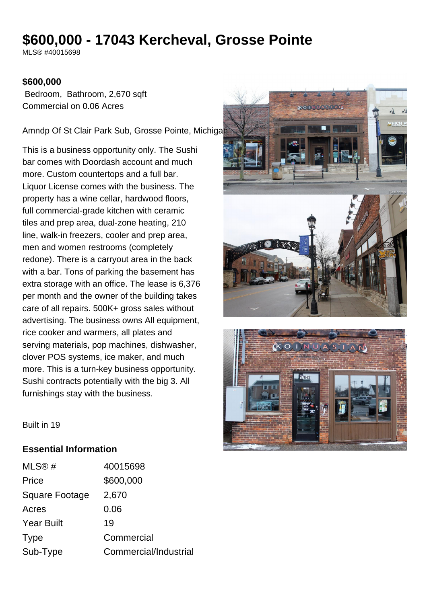# **\$600,000 - 17043 Kercheval, Grosse Pointe**

MLS® #40015698

# **\$600,000**

 Bedroom, Bathroom, 2,670 sqft Commercial on 0.06 Acres

Amndp Of St Clair Park Sub, Grosse Pointe, Michigan

This is a business opportunity only. The Sushi bar comes with Doordash account and much more. Custom countertops and a full bar. Liquor License comes with the business. The property has a wine cellar, hardwood floors, full commercial-grade kitchen with ceramic tiles and prep area, dual-zone heating, 210 line, walk-in freezers, cooler and prep area, men and women restrooms (completely redone). There is a carryout area in the back with a bar. Tons of parking the basement has extra storage with an office. The lease is 6,376 per month and the owner of the building takes care of all repairs. 500K+ gross sales without advertising. The business owns All equipment, rice cooker and warmers, all plates and serving materials, pop machines, dishwasher, clover POS systems, ice maker, and much more. This is a turn-key business opportunity. Sushi contracts potentially with the big 3. All furnishings stay with the business.





Built in 19

# **Essential Information**

| 40015698              |
|-----------------------|
| \$600,000             |
| 2,670                 |
| 0.06                  |
| 19                    |
| Commercial            |
| Commercial/Industrial |
|                       |